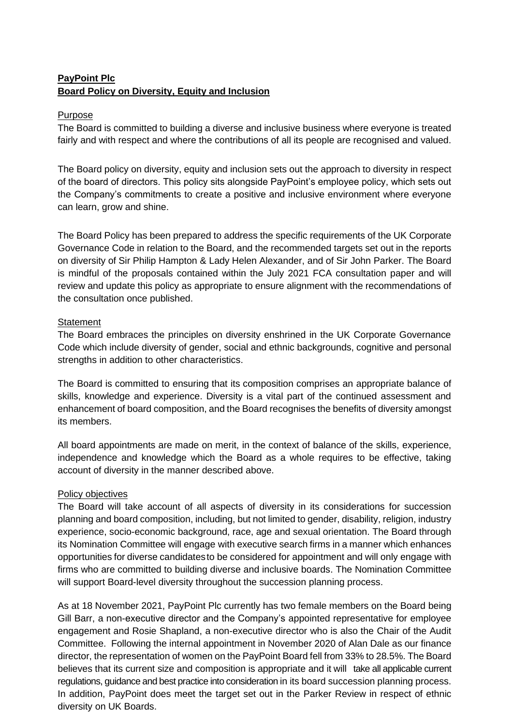# **PayPoint Plc Board Policy on Diversity, Equity and Inclusion**

### Purpose

The Board is committed to building a diverse and inclusive business where everyone is treated fairly and with respect and where the contributions of all its people are recognised and valued.

The Board policy on diversity, equity and inclusion sets out the approach to diversity in respect of the board of directors. This policy sits alongside PayPoint's employee policy, which sets out the Company's commitments to create a positive and inclusive environment where everyone can learn, grow and shine.

The Board Policy has been prepared to address the specific requirements of the UK Corporate Governance Code in relation to the Board, and the recommended targets set out in the reports on diversity of Sir Philip Hampton & Lady Helen Alexander, and of Sir John Parker. The Board is mindful of the proposals contained within the July 2021 FCA consultation paper and will review and update this policy as appropriate to ensure alignment with the recommendations of the consultation once published.

### **Statement**

The Board embraces the principles on diversity enshrined in the UK Corporate Governance Code which include diversity of gender, social and ethnic backgrounds, cognitive and personal strengths in addition to other characteristics.

The Board is committed to ensuring that its composition comprises an appropriate balance of skills, knowledge and experience. Diversity is a vital part of the continued assessment and enhancement of board composition, and the Board recognises the benefits of diversity amongst its members.

All board appointments are made on merit, in the context of balance of the skills, experience, independence and knowledge which the Board as a whole requires to be effective, taking account of diversity in the manner described above.

## Policy objectives

The Board will take account of all aspects of diversity in its considerations for succession planning and board composition, including, but not limited to gender, disability, religion, industry experience, socio-economic background, race, age and sexual orientation. The Board through its Nomination Committee will engage with executive search firms in a manner which enhances opportunities for diverse candidatesto be considered for appointment and will only engage with firms who are committed to building diverse and inclusive boards. The Nomination Committee will support Board-level diversity throughout the succession planning process.

As at 18 November 2021, PayPoint Plc currently has two female members on the Board being Gill Barr, a non-executive director and the Company's appointed representative for employee engagement and Rosie Shapland, a non-executive director who is also the Chair of the Audit Committee. Following the internal appointment in November 2020 of Alan Dale as our finance director, the representation of women on the PayPoint Board fell from 33% to 28.5%. The Board believes that its current size and composition is appropriate and it will take all applicable current regulations, guidance and best practice into consideration in its board succession planning process. In addition, PayPoint does meet the target set out in the Parker Review in respect of ethnic diversity on UK Boards.